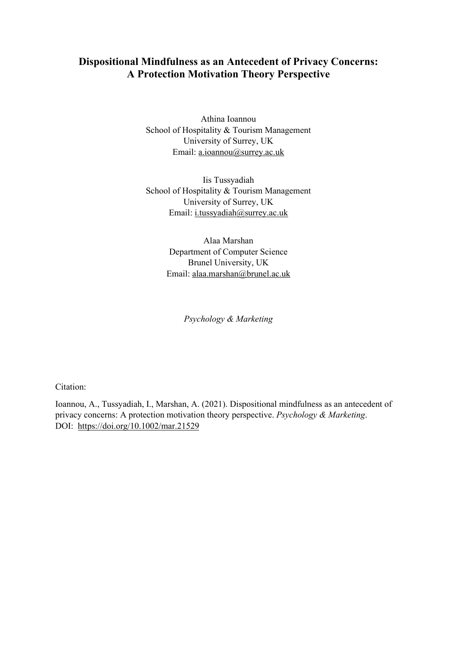# **Dispositional Mindfulness as an Antecedent of Privacy Concerns: A Protection Motivation Theory Perspective**

Athina Ioannou School of Hospitality & Tourism Management University of Surrey, UK Email: [a.ioannou@surrey.ac.uk](mailto:a.ioannou@surrey.ac.uk)

Iis Tussyadiah School of Hospitality & Tourism Management University of Surrey, UK Email: [i.tussyadiah@surrey.ac.uk](mailto:i.tussyadiah@surrey.ac.uk)

> Alaa Marshan Department of Computer Science Brunel University, UK Email: [alaa.marshan@brunel.ac.uk](mailto:alaa.marshan@brunel.ac.uk)

> > *Psychology & Marketing*

Citation:

Ioannou, A., Tussyadiah, I., Marshan, A. (2021). Dispositional mindfulness as an antecedent of privacy concerns: A protection motivation theory perspective. *Psychology & Marketing*. DOI: <https://doi.org/10.1002/mar.21529>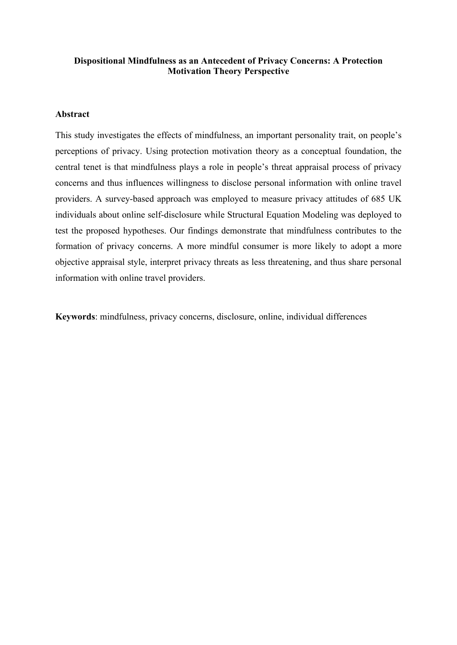# **Dispositional Mindfulness as an Antecedent of Privacy Concerns: A Protection Motivation Theory Perspective**

# **Abstract**

This study investigates the effects of mindfulness, an important personality trait, on people's perceptions of privacy. Using protection motivation theory as a conceptual foundation, the central tenet is that mindfulness plays a role in people's threat appraisal process of privacy concerns and thus influences willingness to disclose personal information with online travel providers. A survey-based approach was employed to measure privacy attitudes of 685 UK individuals about online self-disclosure while Structural Equation Modeling was deployed to test the proposed hypotheses. Our findings demonstrate that mindfulness contributes to the formation of privacy concerns. A more mindful consumer is more likely to adopt a more objective appraisal style, interpret privacy threats as less threatening, and thus share personal information with online travel providers.

**Keywords**: mindfulness, privacy concerns, disclosure, online, individual differences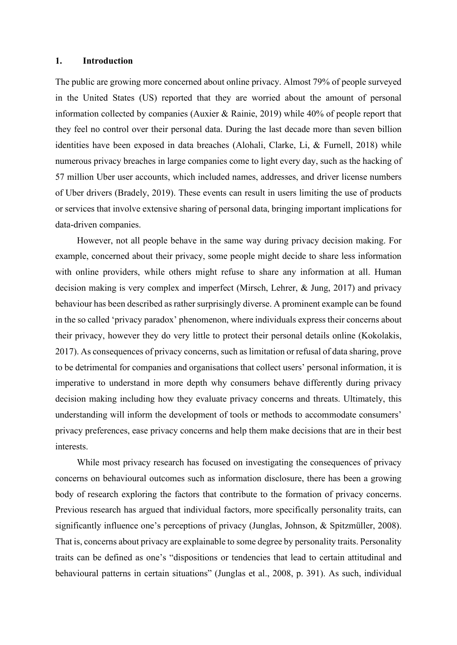#### **1. Introduction**

The public are growing more concerned about online privacy. Almost 79% of people surveyed in the United States (US) reported that they are worried about the amount of personal information collected by companies (Auxier & Rainie, 2019) while 40% of people report that they feel no control over their personal data. During the last decade more than seven billion identities have been exposed in data breaches (Alohali, Clarke, Li, & Furnell, 2018) while numerous privacy breaches in large companies come to light every day, such as the hacking of 57 million Uber user accounts, which included names, addresses, and driver license numbers of Uber drivers (Bradely, 2019). These events can result in users limiting the use of products or services that involve extensive sharing of personal data, bringing important implications for data-driven companies.

However, not all people behave in the same way during privacy decision making. For example, concerned about their privacy, some people might decide to share less information with online providers, while others might refuse to share any information at all. Human decision making is very complex and imperfect (Mirsch, Lehrer, & Jung, 2017) and privacy behaviour has been described as rather surprisingly diverse. A prominent example can be found in the so called 'privacy paradox' phenomenon, where individuals express their concerns about their privacy, however they do very little to protect their personal details online (Kokolakis, 2017). As consequences of privacy concerns, such as limitation or refusal of data sharing, prove to be detrimental for companies and organisations that collect users' personal information, it is imperative to understand in more depth why consumers behave differently during privacy decision making including how they evaluate privacy concerns and threats. Ultimately, this understanding will inform the development of tools or methods to accommodate consumers' privacy preferences, ease privacy concerns and help them make decisions that are in their best interests.

While most privacy research has focused on investigating the consequences of privacy concerns on behavioural outcomes such as information disclosure, there has been a growing body of research exploring the factors that contribute to the formation of privacy concerns. Previous research has argued that individual factors, more specifically personality traits, can significantly influence one's perceptions of privacy (Junglas, Johnson, & Spitzmüller, 2008). That is, concerns about privacy are explainable to some degree by personality traits. Personality traits can be defined as one's "dispositions or tendencies that lead to certain attitudinal and behavioural patterns in certain situations" (Junglas et al., 2008, p. 391). As such, individual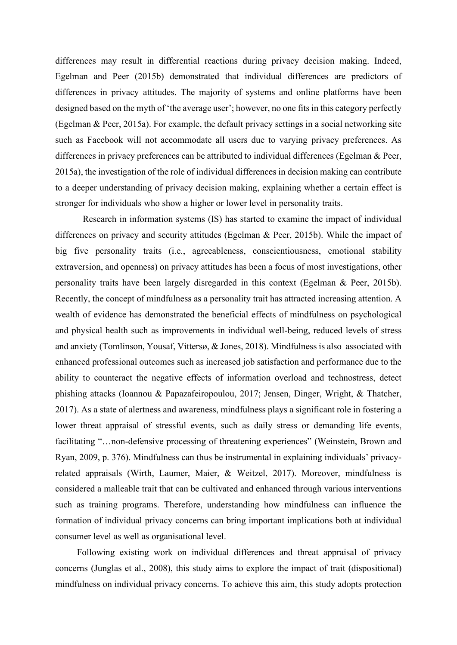differences may result in differential reactions during privacy decision making. Indeed, Egelman and Peer (2015b) demonstrated that individual differences are predictors of differences in privacy attitudes. The majority of systems and online platforms have been designed based on the myth of 'the average user'; however, no one fits in this category perfectly (Egelman & Peer, 2015a). For example, the default privacy settings in a social networking site such as Facebook will not accommodate all users due to varying privacy preferences. As differences in privacy preferences can be attributed to individual differences (Egelman & Peer, 2015a), the investigation of the role of individual differences in decision making can contribute to a deeper understanding of privacy decision making, explaining whether a certain effect is stronger for individuals who show a higher or lower level in personality traits.

Research in information systems (IS) has started to examine the impact of individual differences on privacy and security attitudes (Egelman & Peer, 2015b). While the impact of big five personality traits (i.e., agreeableness, conscientiousness, emotional stability extraversion, and openness) on privacy attitudes has been a focus of most investigations, other personality traits have been largely disregarded in this context (Egelman & Peer, 2015b). Recently, the concept of mindfulness as a personality trait has attracted increasing attention. A wealth of evidence has demonstrated the beneficial effects of mindfulness on psychological and physical health such as improvements in individual well-being, reduced levels of stress and anxiety (Tomlinson, Yousaf, Vittersø, & Jones, 2018). Mindfulness is also associated with enhanced professional outcomes such as increased job satisfaction and performance due to the ability to counteract the negative effects of information overload and technostress, detect phishing attacks (Ioannou & Papazafeiropoulou, 2017; Jensen, Dinger, Wright, & Thatcher, 2017). As a state of alertness and awareness, mindfulness plays a significant role in fostering a lower threat appraisal of stressful events, such as daily stress or demanding life events, facilitating "...non-defensive processing of threatening experiences" (Weinstein, Brown and Ryan, 2009, p. 376). Mindfulness can thus be instrumental in explaining individuals' privacyrelated appraisals (Wirth, Laumer, Maier, & Weitzel, 2017). Moreover, mindfulness is considered a malleable trait that can be cultivated and enhanced through various interventions such as training programs. Therefore, understanding how mindfulness can influence the formation of individual privacy concerns can bring important implications both at individual consumer level as well as organisational level.

Following existing work on individual differences and threat appraisal of privacy concerns (Junglas et al., 2008), this study aims to explore the impact of trait (dispositional) mindfulness on individual privacy concerns. To achieve this aim, this study adopts protection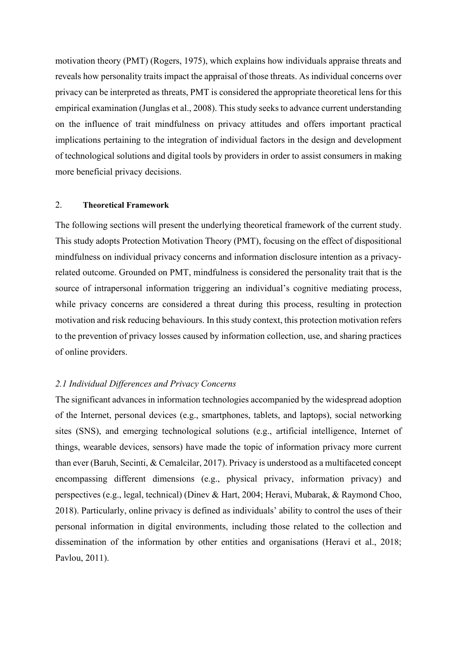motivation theory (PMT) (Rogers, 1975), which explains how individuals appraise threats and reveals how personality traits impact the appraisal of those threats. As individual concerns over privacy can be interpreted as threats, PMT is considered the appropriate theoretical lens for this empirical examination (Junglas et al., 2008). This study seeks to advance current understanding on the influence of trait mindfulness on privacy attitudes and offers important practical implications pertaining to the integration of individual factors in the design and development of technological solutions and digital tools by providers in order to assist consumers in making more beneficial privacy decisions.

### 2. **Theoretical Framework**

The following sections will present the underlying theoretical framework of the current study. This study adopts Protection Motivation Theory (PMT), focusing on the effect of dispositional mindfulness on individual privacy concerns and information disclosure intention as a privacyrelated outcome. Grounded on PMT, mindfulness is considered the personality trait that is the source of intrapersonal information triggering an individual's cognitive mediating process, while privacy concerns are considered a threat during this process, resulting in protection motivation and risk reducing behaviours. In this study context, this protection motivation refers to the prevention of privacy losses caused by information collection, use, and sharing practices of online providers.

#### *2.1 Individual Differences and Privacy Concerns*

The significant advances in information technologies accompanied by the widespread adoption of the Internet, personal devices (e.g., smartphones, tablets, and laptops), social networking sites (SNS), and emerging technological solutions (e.g., artificial intelligence, Internet of things, wearable devices, sensors) have made the topic of information privacy more current than ever (Baruh, Secinti, & Cemalcilar, 2017). Privacy is understood as a multifaceted concept encompassing different dimensions (e.g., physical privacy, information privacy) and perspectives (e.g., legal, technical) (Dinev & Hart, 2004; Heravi, Mubarak, & Raymond Choo, 2018). Particularly, online privacy is defined as individuals' ability to control the uses of their personal information in digital environments, including those related to the collection and dissemination of the information by other entities and organisations (Heravi et al., 2018; Pavlou, 2011).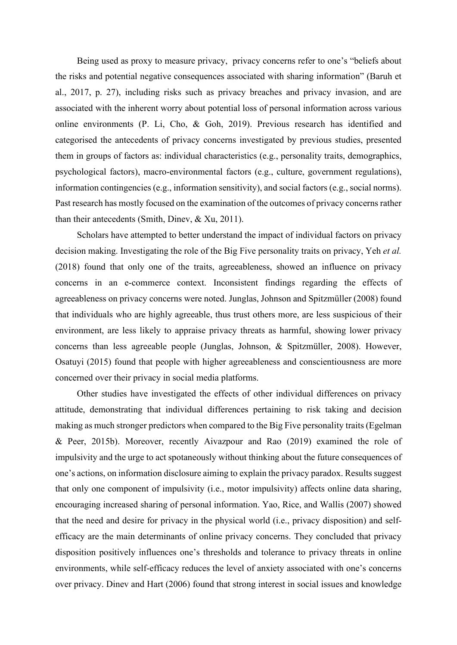Being used as proxy to measure privacy, privacy concerns refer to one's "beliefs about the risks and potential negative consequences associated with sharing information" (Baruh et al., 2017, p. 27), including risks such as privacy breaches and privacy invasion, and are associated with the inherent worry about potential loss of personal information across various online environments (P. Li, Cho, & Goh, 2019). Previous research has identified and categorised the antecedents of privacy concerns investigated by previous studies, presented them in groups of factors as: individual characteristics (e.g., personality traits, demographics, psychological factors), macro-environmental factors (e.g., culture, government regulations), information contingencies (e.g., information sensitivity), and social factors (e.g., social norms). Past research has mostly focused on the examination of the outcomes of privacy concerns rather than their antecedents (Smith, Dinev, & Xu, 2011).

Scholars have attempted to better understand the impact of individual factors on privacy decision making. Investigating the role of the Big Five personality traits on privacy, Yeh *et al.* (2018) found that only one of the traits, agreeableness, showed an influence on privacy concerns in an e-commerce context. Inconsistent findings regarding the effects of agreeableness on privacy concerns were noted. Junglas, Johnson and Spitzmüller (2008) found that individuals who are highly agreeable, thus trust others more, are less suspicious of their environment, are less likely to appraise privacy threats as harmful, showing lower privacy concerns than less agreeable people (Junglas, Johnson, & Spitzmüller, 2008). However, Osatuyi (2015) found that people with higher agreeableness and conscientiousness are more concerned over their privacy in social media platforms.

Other studies have investigated the effects of other individual differences on privacy attitude, demonstrating that individual differences pertaining to risk taking and decision making as much stronger predictors when compared to the Big Five personality traits (Egelman & Peer, 2015b). Moreover, recently Aivazpour and Rao (2019) examined the role of impulsivity and the urge to act spotaneously without thinking about the future consequences of one's actions, on information disclosure aiming to explain the privacy paradox. Results suggest that only one component of impulsivity (i.e., motor impulsivity) affects online data sharing, encouraging increased sharing of personal information. Yao, Rice, and Wallis (2007) showed that the need and desire for privacy in the physical world (i.e., privacy disposition) and selfefficacy are the main determinants of online privacy concerns. They concluded that privacy disposition positively influences one's thresholds and tolerance to privacy threats in online environments, while self-efficacy reduces the level of anxiety associated with one's concerns over privacy. Dinev and Hart (2006) found that strong interest in social issues and knowledge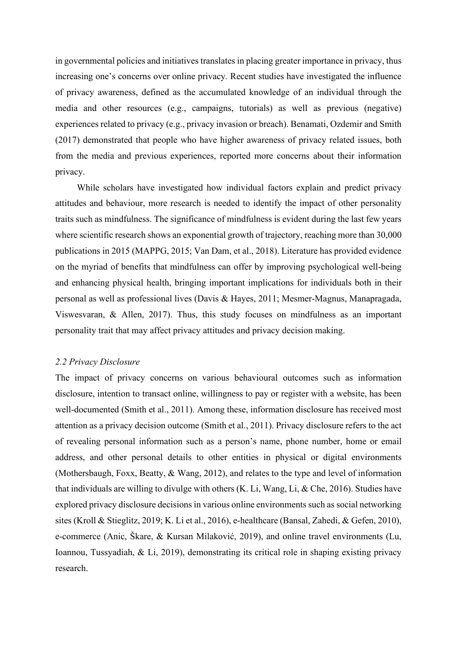in governmental policies and initiatives translates in placing greater importance in privacy, thus increasing one's concerns over online privacy*.* Recent studies have investigated the influence of privacy awareness, defined as the accumulated knowledge of an individual through the media and other resources (e.g., campaigns, tutorials) as well as previous (negative) experiences related to privacy (e.g., privacy invasion or breach). Benamati, Ozdemir and Smith (2017) demonstrated that people who have higher awareness of privacy related issues, both from the media and previous experiences, reported more concerns about their information privacy.

While scholars have investigated how individual factors explain and predict privacy attitudes and behaviour, more research is needed to identify the impact of other personality traits such as mindfulness. The significance of mindfulness is evident during the last few years where scientific research shows an exponential growth of trajectory, reaching more than 30,000 publications in 2015 (MAPPG, 2015; Van Dam, et al., 2018). Literature has provided evidence on the myriad of benefits that mindfulness can offer by improving psychological well-being and enhancing physical health, bringing important implications for individuals both in their personal as well as professional lives (Davis & Hayes, 2011; Mesmer-Magnus, Manapragada, Viswesvaran, & Allen, 2017). Thus, this study focuses on mindfulness as an important personality trait that may affect privacy attitudes and privacy decision making.

#### *2.2 Privacy Disclosure*

The impact of privacy concerns on various behavioural outcomes such as information disclosure, intention to transact online, willingness to pay or register with a website, has been well-documented (Smith et al., 2011). Among these, information disclosure has received most attention as a privacy decision outcome (Smith et al., 2011). Privacy disclosure refers to the act of revealing personal information such as a person's name, phone number, home or email address, and other personal details to other entities in physical or digital environments (Mothersbaugh, Foxx, Beatty, & Wang, 2012), and relates to the type and level of information that individuals are willing to divulge with others (K. Li, Wang, Li, & Che, 2016). Studies have explored privacy disclosure decisions in various online environments such as social networking sites (Kroll & Stieglitz, 2019; K. Li et al., 2016), e-healthcare (Bansal, Zahedi, & Gefen, 2010), e-commerce (Anic, Škare, & Kursan Milaković, 2019), and online travel environments (Lu, Ioannou, Tussyadiah, & Li, 2019), demonstrating its critical role in shaping existing privacy research.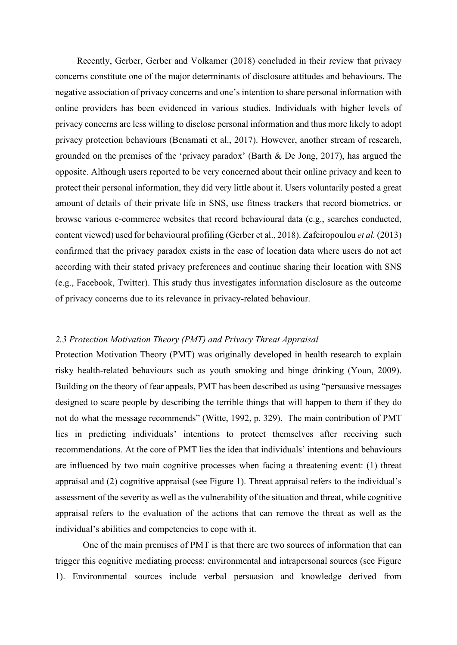Recently, Gerber, Gerber and Volkamer (2018) concluded in their review that privacy concerns constitute one of the major determinants of disclosure attitudes and behaviours. The negative association of privacy concerns and one's intention to share personal information with online providers has been evidenced in various studies. Individuals with higher levels of privacy concerns are less willing to disclose personal information and thus more likely to adopt privacy protection behaviours (Benamati et al., 2017). However, another stream of research, grounded on the premises of the 'privacy paradox' (Barth & De Jong, 2017), has argued the opposite. Although users reported to be very concerned about their online privacy and keen to protect their personal information, they did very little about it. Users voluntarily posted a great amount of details of their private life in SNS, use fitness trackers that record biometrics, or browse various e-commerce websites that record behavioural data (e.g., searches conducted, content viewed) used for behavioural profiling (Gerber et al., 2018). Zafeiropoulou *et al.* (2013) confirmed that the privacy paradox exists in the case of location data where users do not act according with their stated privacy preferences and continue sharing their location with SNS (e.g., Facebook, Twitter). This study thus investigates information disclosure as the outcome of privacy concerns due to its relevance in privacy-related behaviour.

# *2.3 Protection Motivation Theory (PMT) and Privacy Threat Appraisal*

Protection Motivation Theory (PMT) was originally developed in health research to explain risky health-related behaviours such as youth smoking and binge drinking (Youn, 2009). Building on the theory of fear appeals, PMT has been described as using "persuasive messages designed to scare people by describing the terrible things that will happen to them if they do not do what the message recommends" (Witte, 1992, p. 329). The main contribution of PMT lies in predicting individuals' intentions to protect themselves after receiving such recommendations. At the core of PMT lies the idea that individuals' intentions and behaviours are influenced by two main cognitive processes when facing a threatening event: (1) threat appraisal and (2) cognitive appraisal (see Figure 1). Threat appraisal refers to the individual's assessment of the severity as well as the vulnerability of the situation and threat, while cognitive appraisal refers to the evaluation of the actions that can remove the threat as well as the individual's abilities and competencies to cope with it.

One of the main premises of PMT is that there are two sources of information that can trigger this cognitive mediating process: environmental and intrapersonal sources (see Figure 1). Environmental sources include verbal persuasion and knowledge derived from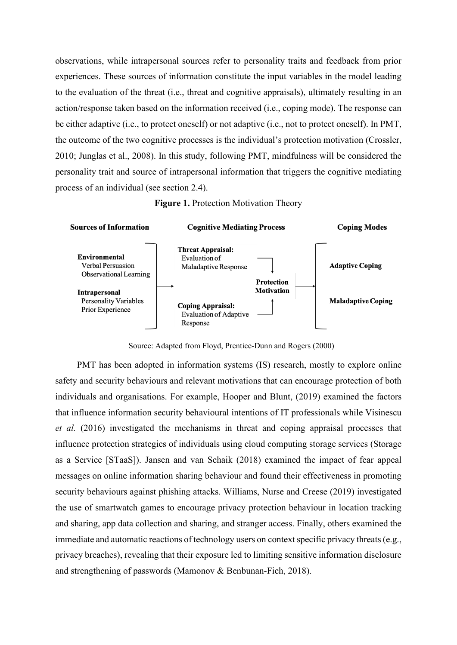observations, while intrapersonal sources refer to personality traits and feedback from prior experiences. These sources of information constitute the input variables in the model leading to the evaluation of the threat (i.e., threat and cognitive appraisals), ultimately resulting in an action/response taken based on the information received (i.e., coping mode). The response can be either adaptive (i.e., to protect oneself) or not adaptive (i.e., not to protect oneself). In PMT, the outcome of the two cognitive processes is the individual's protection motivation (Crossler, 2010; Junglas et al., 2008). In this study, following PMT, mindfulness will be considered the personality trait and source of intrapersonal information that triggers the cognitive mediating process of an individual (see section 2.4).





Source: Adapted from Floyd, Prentice-Dunn and Rogers (2000)

PMT has been adopted in information systems (IS) research, mostly to explore online safety and security behaviours and relevant motivations that can encourage protection of both individuals and organisations. For example, Hooper and Blunt, (2019) examined the factors that influence information security behavioural intentions of IT professionals while Visinescu *et al.* (2016) investigated the mechanisms in threat and coping appraisal processes that influence protection strategies of individuals using cloud computing storage services (Storage as a Service [STaaS]). Jansen and van Schaik (2018) examined the impact of fear appeal messages on online information sharing behaviour and found their effectiveness in promoting security behaviours against phishing attacks. Williams, Nurse and Creese (2019) investigated the use of smartwatch games to encourage privacy protection behaviour in location tracking and sharing, app data collection and sharing, and stranger access. Finally, others examined the immediate and automatic reactions of technology users on context specific privacy threats (e.g., privacy breaches), revealing that their exposure led to limiting sensitive information disclosure and strengthening of passwords (Mamonov & Benbunan-Fich, 2018).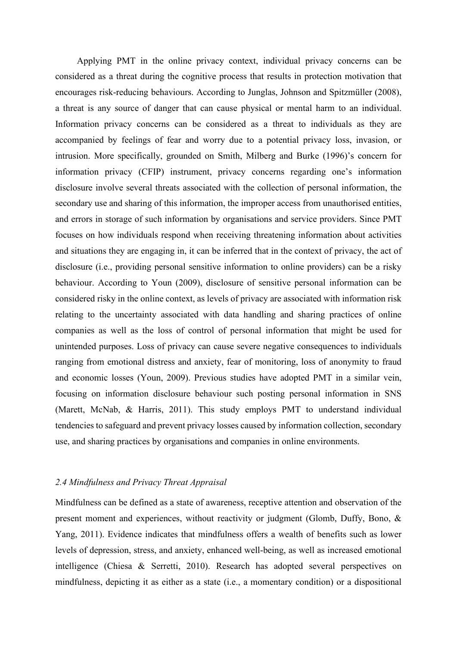Applying PMT in the online privacy context, individual privacy concerns can be considered as a threat during the cognitive process that results in protection motivation that encourages risk-reducing behaviours. According to Junglas, Johnson and Spitzmüller (2008), a threat is any source of danger that can cause physical or mental harm to an individual. Information privacy concerns can be considered as a threat to individuals as they are accompanied by feelings of fear and worry due to a potential privacy loss, invasion, or intrusion. More specifically, grounded on Smith, Milberg and Burke (1996)'s concern for information privacy (CFIP) instrument, privacy concerns regarding one's information disclosure involve several threats associated with the collection of personal information, the secondary use and sharing of this information, the improper access from unauthorised entities, and errors in storage of such information by organisations and service providers. Since PMT focuses on how individuals respond when receiving threatening information about activities and situations they are engaging in, it can be inferred that in the context of privacy, the act of disclosure (i.e., providing personal sensitive information to online providers) can be a risky behaviour. According to Youn (2009), disclosure of sensitive personal information can be considered risky in the online context, as levels of privacy are associated with information risk relating to the uncertainty associated with data handling and sharing practices of online companies as well as the loss of control of personal information that might be used for unintended purposes. Loss of privacy can cause severe negative consequences to individuals ranging from emotional distress and anxiety, fear of monitoring, loss of anonymity to fraud and economic losses (Youn, 2009). Previous studies have adopted PMT in a similar vein, focusing on information disclosure behaviour such posting personal information in SNS (Marett, McNab, & Harris, 2011). This study employs PMT to understand individual tendencies to safeguard and prevent privacy losses caused by information collection, secondary use, and sharing practices by organisations and companies in online environments.

# *2.4 Mindfulness and Privacy Threat Appraisal*

Mindfulness can be defined as a state of awareness, receptive attention and observation of the present moment and experiences, without reactivity or judgment (Glomb, Duffy, Bono, & Yang, 2011). Evidence indicates that mindfulness offers a wealth of benefits such as lower levels of depression, stress, and anxiety, enhanced well-being, as well as increased emotional intelligence (Chiesa & Serretti, 2010). Research has adopted several perspectives on mindfulness, depicting it as either as a state (i.e., a momentary condition) or a dispositional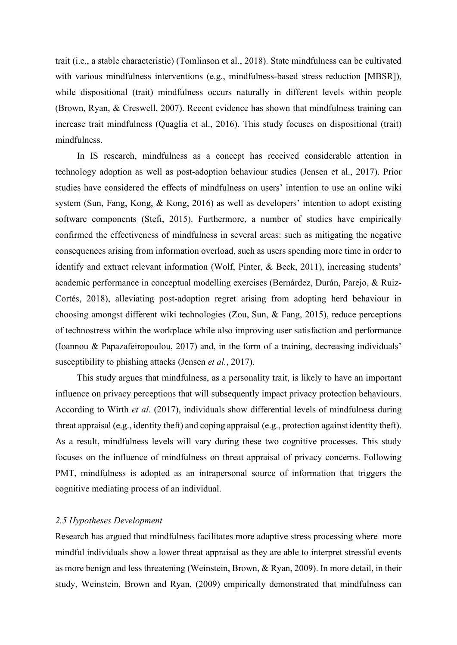trait (i.e., a stable characteristic) (Tomlinson et al., 2018). State mindfulness can be cultivated with various mindfulness interventions (e.g., mindfulness-based stress reduction [MBSR]), while dispositional (trait) mindfulness occurs naturally in different levels within people (Brown, Ryan, & Creswell, 2007). Recent evidence has shown that mindfulness training can increase trait mindfulness (Quaglia et al., 2016). This study focuses on dispositional (trait) mindfulness.

In IS research, mindfulness as a concept has received considerable attention in technology adoption as well as post-adoption behaviour studies (Jensen et al., 2017). Prior studies have considered the effects of mindfulness on users' intention to use an online wiki system (Sun, Fang, Kong, & Kong, 2016) as well as developers' intention to adopt existing software components (Stefi, 2015). Furthermore, a number of studies have empirically confirmed the effectiveness of mindfulness in several areas: such as mitigating the negative consequences arising from information overload, such as users spending more time in order to identify and extract relevant information (Wolf, Pinter, & Beck, 2011), increasing students' academic performance in conceptual modelling exercises (Bernárdez, Durán, Parejo, & Ruiz-Cortés, 2018), alleviating post-adoption regret arising from adopting herd behaviour in choosing amongst different wiki technologies (Zou, Sun, & Fang, 2015), reduce perceptions of technostress within the workplace while also improving user satisfaction and performance (Ioannou & Papazafeiropoulou, 2017) and, in the form of a training, decreasing individuals' susceptibility to phishing attacks (Jensen *et al.*, 2017).

This study argues that mindfulness, as a personality trait, is likely to have an important influence on privacy perceptions that will subsequently impact privacy protection behaviours. According to Wirth *et al.* (2017), individuals show differential levels of mindfulness during threat appraisal (e.g., identity theft) and coping appraisal (e.g., protection against identity theft). As a result, mindfulness levels will vary during these two cognitive processes. This study focuses on the influence of mindfulness on threat appraisal of privacy concerns. Following PMT, mindfulness is adopted as an intrapersonal source of information that triggers the cognitive mediating process of an individual.

### *2.5 Hypotheses Development*

Research has argued that mindfulness facilitates more adaptive stress processing where more mindful individuals show a lower threat appraisal as they are able to interpret stressful events as more benign and less threatening (Weinstein, Brown, & Ryan, 2009). In more detail, in their study, Weinstein, Brown and Ryan, (2009) empirically demonstrated that mindfulness can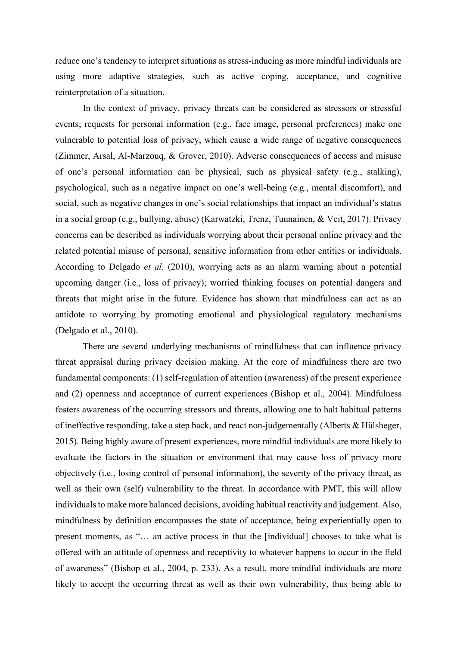reduce one's tendency to interpret situations as stress-inducing as more mindful individuals are using more adaptive strategies, such as active coping, acceptance, and cognitive reinterpretation of a situation.

In the context of privacy, privacy threats can be considered as stressors or stressful events; requests for personal information (e.g., face image, personal preferences) make one vulnerable to potential loss of privacy, which cause a wide range of negative consequences (Zimmer, Arsal, Al-Marzouq, & Grover, 2010). Adverse consequences of access and misuse of one's personal information can be physical, such as physical safety (e.g., stalking), psychological, such as a negative impact on one's well-being (e.g., mental discomfort), and social, such as negative changes in one's social relationships that impact an individual's status in a social group (e.g., bullying, abuse) (Karwatzki, Trenz, Tuunainen, & Veit, 2017). Privacy concerns can be described as individuals worrying about their personal online privacy and the related potential misuse of personal, sensitive information from other entities or individuals. According to Delgado *et al.* (2010), worrying acts as an alarm warning about a potential upcoming danger (i.e., loss of privacy); worried thinking focuses on potential dangers and threats that might arise in the future. Evidence has shown that mindfulness can act as an antidote to worrying by promoting emotional and physiological regulatory mechanisms (Delgado et al., 2010).

There are several underlying mechanisms of mindfulness that can influence privacy threat appraisal during privacy decision making. At the core of mindfulness there are two fundamental components: (1) self-regulation of attention (awareness) of the present experience and (2) openness and acceptance of current experiences (Bishop et al., 2004). Mindfulness fosters awareness of the occurring stressors and threats, allowing one to halt habitual patterns of ineffective responding, take a step back, and react non-judgementally (Alberts & Hülsheger, 2015). Being highly aware of present experiences, more mindful individuals are more likely to evaluate the factors in the situation or environment that may cause loss of privacy more objectively (i.e., losing control of personal information), the severity of the privacy threat, as well as their own (self) vulnerability to the threat. In accordance with PMT, this will allow individuals to make more balanced decisions, avoiding habitual reactivity and judgement. Also, mindfulness by definition encompasses the state of acceptance, being experientially open to present moments, as "… an active process in that the [individual] chooses to take what is offered with an attitude of openness and receptivity to whatever happens to occur in the field of awareness" (Bishop et al., 2004, p. 233). As a result, more mindful individuals are more likely to accept the occurring threat as well as their own vulnerability, thus being able to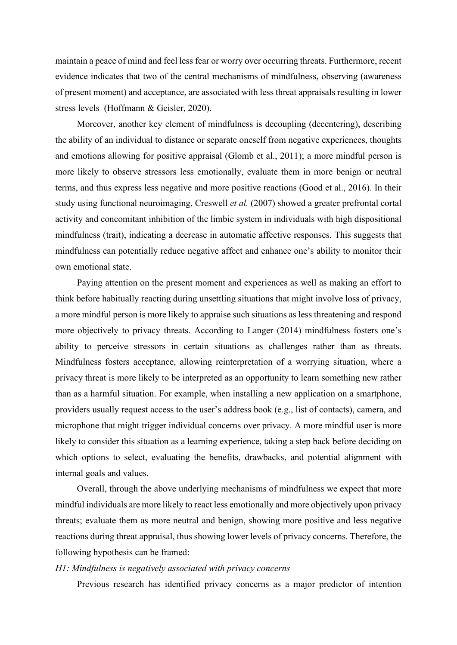maintain a peace of mind and feel less fear or worry over occurring threats. Furthermore, recent evidence indicates that two of the central mechanisms of mindfulness, observing (awareness of present moment) and acceptance, are associated with less threat appraisals resulting in lower stress levels (Hoffmann & Geisler, 2020).

Moreover, another key element of mindfulness is decoupling (decentering), describing the ability of an individual to distance or separate oneself from negative experiences, thoughts and emotions allowing for positive appraisal (Glomb et al., 2011); a more mindful person is more likely to observe stressors less emotionally, evaluate them in more benign or neutral terms, and thus express less negative and more positive reactions (Good et al., 2016). In their study using functional neuroimaging, Creswell *et al.* (2007) showed a greater prefrontal cortal activity and concomitant inhibition of the limbic system in individuals with high dispositional mindfulness (trait), indicating a decrease in automatic affective responses. This suggests that mindfulness can potentially reduce negative affect and enhance one's ability to monitor their own emotional state.

Paying attention on the present moment and experiences as well as making an effort to think before habitually reacting during unsettling situations that might involve loss of privacy, a more mindful person is more likely to appraise such situations as less threatening and respond more objectively to privacy threats. According to Langer (2014) mindfulness fosters one's ability to perceive stressors in certain situations as challenges rather than as threats. Mindfulness fosters acceptance, allowing reinterpretation of a worrying situation, where a privacy threat is more likely to be interpreted as an opportunity to learn something new rather than as a harmful situation. For example, when installing a new application on a smartphone, providers usually request access to the user's address book (e.g., list of contacts), camera, and microphone that might trigger individual concerns over privacy. A more mindful user is more likely to consider this situation as a learning experience, taking a step back before deciding on which options to select, evaluating the benefits, drawbacks, and potential alignment with internal goals and values.

Overall, through the above underlying mechanisms of mindfulness we expect that more mindful individuals are more likely to react less emotionally and more objectively upon privacy threats; evaluate them as more neutral and benign, showing more positive and less negative reactions during threat appraisal, thus showing lower levels of privacy concerns. Therefore, the following hypothesis can be framed:

## *H1: Mindfulness is negatively associated with privacy concerns*

Previous research has identified privacy concerns as a major predictor of intention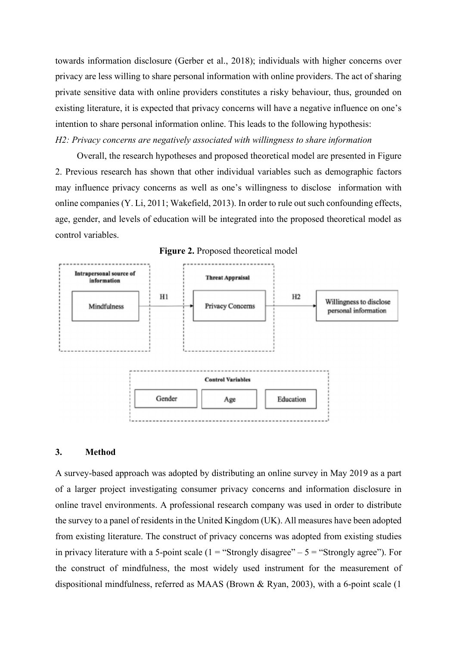towards information disclosure (Gerber et al., 2018); individuals with higher concerns over privacy are less willing to share personal information with online providers. The act of sharing private sensitive data with online providers constitutes a risky behaviour, thus, grounded on existing literature, it is expected that privacy concerns will have a negative influence on one's intention to share personal information online. This leads to the following hypothesis: *H2: Privacy concerns are negatively associated with willingness to share information*

Overall, the research hypotheses and proposed theoretical model are presented in Figure 2. Previous research has shown that other individual variables such as demographic factors may influence privacy concerns as well as one's willingness to disclose information with online companies (Y. Li, 2011; Wakefield, 2013). In order to rule out such confounding effects, age, gender, and levels of education will be integrated into the proposed theoretical model as control variables.





#### **3. Method**

A survey-based approach was adopted by distributing an online survey in May 2019 as a part of a larger project investigating consumer privacy concerns and information disclosure in online travel environments. A professional research company was used in order to distribute the survey to a panel of residents in the United Kingdom (UK). All measures have been adopted from existing literature. The construct of privacy concerns was adopted from existing studies in privacy literature with a 5-point scale  $(1 = "Strongly disagree" - 5 = "Strongly agree").$  For the construct of mindfulness, the most widely used instrument for the measurement of dispositional mindfulness, referred as MAAS (Brown & Ryan, 2003), with a 6-point scale (1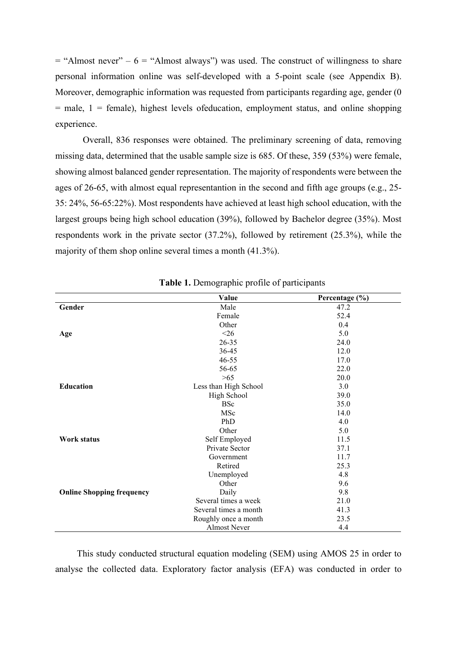$=$  "Almost never" – 6 = "Almost always") was used. The construct of willingness to share personal information online was self-developed with a 5-point scale (see Appendix B). Moreover, demographic information was requested from participants regarding age, gender (0  $=$  male,  $1$  = female), highest levels ofeducation, employment status, and online shopping experience.

Overall, 836 responses were obtained. The preliminary screening of data, removing missing data, determined that the usable sample size is 685. Of these, 359 (53%) were female, showing almost balanced gender representation. The majority of respondents were between the ages of 26-65, with almost equal representantion in the second and fifth age groups (e.g., 25- 35: 24%, 56-65:22%). Most respondents have achieved at least high school education, with the largest groups being high school education (39%), followed by Bachelor degree (35%). Most respondents work in the private sector (37.2%), followed by retirement (25.3%), while the majority of them shop online several times a month (41.3%).

|                                  | Value                 | Percentage (%) |
|----------------------------------|-----------------------|----------------|
| Gender                           | Male                  | 47.2           |
|                                  | Female                | 52.4           |
|                                  | Other                 | 0.4            |
| Age                              | $<$ 26                | 5.0            |
|                                  | $26 - 35$             | 24.0           |
|                                  | 36-45                 | 12.0           |
|                                  | $46 - 55$             | 17.0           |
|                                  | 56-65                 | 22.0           |
|                                  | >65                   | 20.0           |
| <b>Education</b>                 | Less than High School | 3.0            |
|                                  | High School           | 39.0           |
|                                  | <b>BSc</b>            | 35.0           |
|                                  | MSc                   | 14.0           |
|                                  | PhD                   | 4.0            |
|                                  | Other                 | 5.0            |
| Work status                      | Self Employed         | 11.5           |
|                                  | Private Sector        | 37.1           |
|                                  | Government            | 11.7           |
|                                  | Retired               | 25.3           |
|                                  | Unemployed            | 4.8            |
|                                  | Other                 | 9.6            |
| <b>Online Shopping frequency</b> | Daily                 | 9.8            |
|                                  | Several times a week  | 21.0           |
|                                  | Several times a month | 41.3           |
|                                  | Roughly once a month  | 23.5           |
|                                  | <b>Almost Never</b>   | 4.4            |

|  | Table 1. Demographic profile of participants |  |  |  |
|--|----------------------------------------------|--|--|--|
|--|----------------------------------------------|--|--|--|

This study conducted structural equation modeling (SEM) using AMOS 25 in order to analyse the collected data. Exploratory factor analysis (EFA) was conducted in order to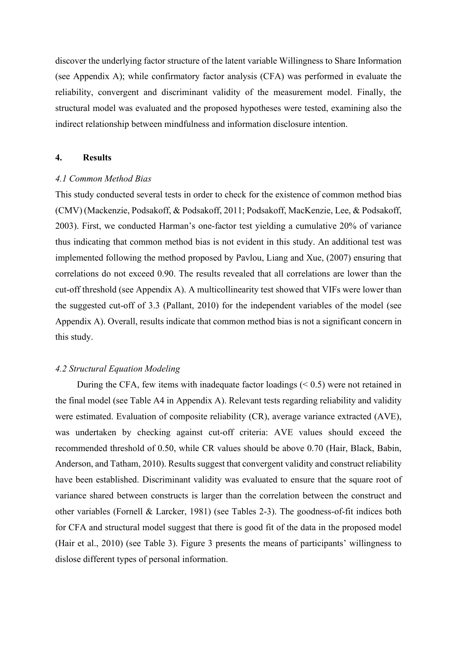discover the underlying factor structure of the latent variable Willingness to Share Information (see Appendix A); while confirmatory factor analysis (CFA) was performed in evaluate the reliability, convergent and discriminant validity of the measurement model. Finally, the structural model was evaluated and the proposed hypotheses were tested, examining also the indirect relationship between mindfulness and information disclosure intention.

#### **4. Results**

#### *4.1 Common Method Bias*

This study conducted several tests in order to check for the existence of common method bias (CMV) (Mackenzie, Podsakoff, & Podsakoff, 2011; Podsakoff, MacKenzie, Lee, & Podsakoff, 2003). First, we conducted Harman's one-factor test yielding a cumulative 20% of variance thus indicating that common method bias is not evident in this study. An additional test was implemented following the method proposed by Pavlou, Liang and Xue, (2007) ensuring that correlations do not exceed 0.90. The results revealed that all correlations are lower than the cut-off threshold (see Appendix A). A multicollinearity test showed that VIFs were lower than the suggested cut-off of 3.3 (Pallant, 2010) for the independent variables of the model (see Appendix A). Overall, results indicate that common method bias is not a significant concern in this study.

# *4.2 Structural Equation Modeling*

During the CFA, few items with inadequate factor loadings  $( $0.5$ )$  were not retained in the final model (see Table A4 in Appendix A). Relevant tests regarding reliability and validity were estimated. Evaluation of composite reliability (CR), average variance extracted (AVE), was undertaken by checking against cut-off criteria: AVE values should exceed the recommended threshold of 0.50, while CR values should be above 0.70 (Hair, Black, Babin, Anderson, and Tatham, 2010). Results suggest that convergent validity and construct reliability have been established. Discriminant validity was evaluated to ensure that the square root of variance shared between constructs is larger than the correlation between the construct and other variables (Fornell & Larcker, 1981) (see Tables 2-3). The goodness-of-fit indices both for CFA and structural model suggest that there is good fit of the data in the proposed model (Hair et al., 2010) (see Table 3). Figure 3 presents the means of participants' willingness to dislose different types of personal information.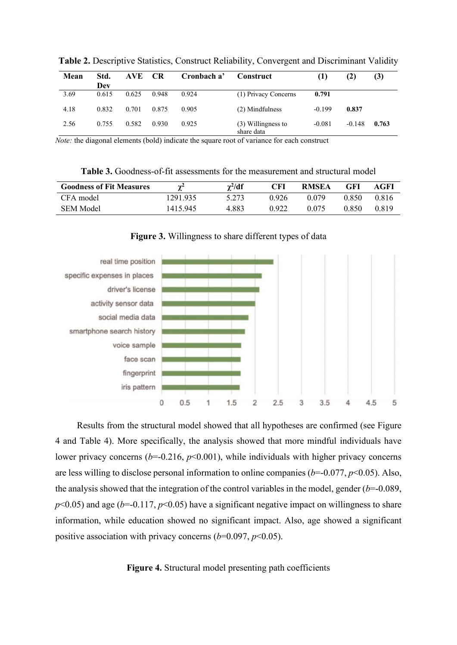| Mean | Std.<br>Dev | AVE.  | <b>CR</b> | Cronbach a' | Construct                        | $\bf(1)$ | (2)      | (3)   |
|------|-------------|-------|-----------|-------------|----------------------------------|----------|----------|-------|
| 3.69 | 0.615       | 0.625 | 0.948     | 0.924       | (1) Privacy Concerns             | 0.791    |          |       |
| 4.18 | 0.832       | 0.701 | 0.875     | 0.905       | (2) Mindfulness                  | $-0.199$ | 0.837    |       |
| 2.56 | 0.755       | 0.582 | 0.930     | 0.925       | (3) Willingness to<br>share data | $-0.081$ | $-0.148$ | 0.763 |

**Table 2.** Descriptive Statistics, Construct Reliability, Convergent and Discriminant Validity

*Note:* the diagonal elements (bold) indicate the square root of variance for each construct

**Table 3.** Goodness-of-fit assessments for the measurement and structural model

| <b>Goodness of Fit Measures</b> | $\mathbf{v}^2$ | $\gamma^2/df$ | CFI   | <b>RMSEA</b> | GFI   | AGFI  |
|---------------------------------|----------------|---------------|-------|--------------|-------|-------|
| CFA model                       | 1291.935       | 5.273         | ) 926 | 0.079        | 0.850 | 0.816 |
| <b>SEM Model</b>                | 1415.945       | 4.883         | Ი 922 | 0.075        | 0.850 | 0.819 |



**Figure 3.** Willingness to share different types of data

Results from the structural model showed that all hypotheses are confirmed (see Figure 4 and Table 4). More specifically, the analysis showed that more mindful individuals have lower privacy concerns  $(b=0.216, p<0.001)$ , while individuals with higher privacy concerns are less willing to disclose personal information to online companies (*b*=-0.077, *p*<0.05). Also, the analysis showed that the integration of the control variables in the model, gender  $(b=0.089,$  $p$ <0.05) and age ( $b$ =-0.117,  $p$ <0.05) have a significant negative impact on willingness to share information, while education showed no significant impact. Also, age showed a significant positive association with privacy concerns  $(b=0.097, p<0.05)$ .

**Figure 4.** Structural model presenting path coefficients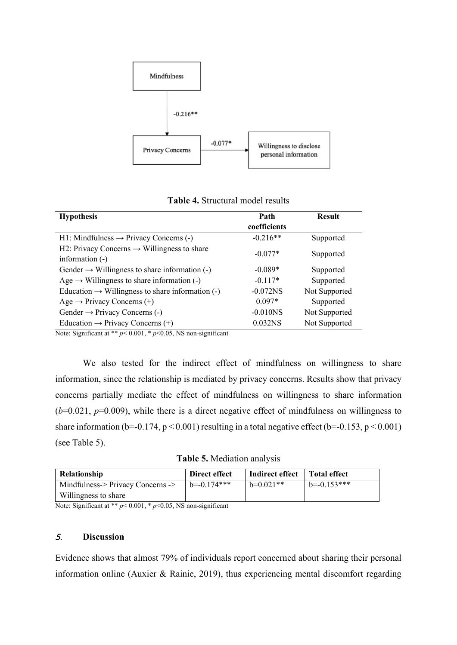

| <b>Hypothesis</b>                                                          | Path                   | <b>Result</b> |
|----------------------------------------------------------------------------|------------------------|---------------|
|                                                                            | coefficients           |               |
| $H1:$ Mindfulness $\rightarrow$ Privacy Concerns (-)                       | $-0.216**$             | Supported     |
| H2: Privacy Concerns $\rightarrow$ Willingness to share<br>information (-) | $-0.077*$              | Supported     |
| Gender $\rightarrow$ Willingness to share information (-)                  | $-0.089*$              | Supported     |
| Age $\rightarrow$ Willingness to share information (-)                     | $-0.117*$              | Supported     |
| Education $\rightarrow$ Willingness to share information (-)               | $-0.072NS$             | Not Supported |
| Age $\rightarrow$ Privacy Concerns (+)                                     | $0.097*$               | Supported     |
| Gender $\rightarrow$ Privacy Concerns (-)                                  | $-0.010$ <sub>NS</sub> | Not Supported |
| Education $\rightarrow$ Privacy Concerns (+)                               | 0.032NS                | Not Supported |

**Table 4.** Structural model results

Note: Significant at \*\*  $p$  < 0.001, \*  $p$  < 0.05, NS non-significant

We also tested for the indirect effect of mindfulness on willingness to share information, since the relationship is mediated by privacy concerns. Results show that privacy concerns partially mediate the effect of mindfulness on willingness to share information  $(b=0.021, p=0.009)$ , while there is a direct negative effect of mindfulness on willingness to share information (b=-0.174,  $p < 0.001$ ) resulting in a total negative effect (b=-0.153,  $p < 0.001$ ) (see Table 5).

**Table 5.** Mediation analysis

| Relationship                      | Direct effect   | Indirect effect   Total effect |                 |
|-----------------------------------|-----------------|--------------------------------|-----------------|
| Mindfulness-> Privacy Concerns -> | $b = -0.174***$ | $b=0.021**$                    | $b = -0.153***$ |
| Willingness to share              |                 |                                |                 |

Note: Significant at \*\*  $p$  < 0.001, \*  $p$  < 0.05, NS non-significant

# 5. **Discussion**

Evidence shows that almost 79% of individuals report concerned about sharing their personal information online (Auxier & Rainie, 2019), thus experiencing mental discomfort regarding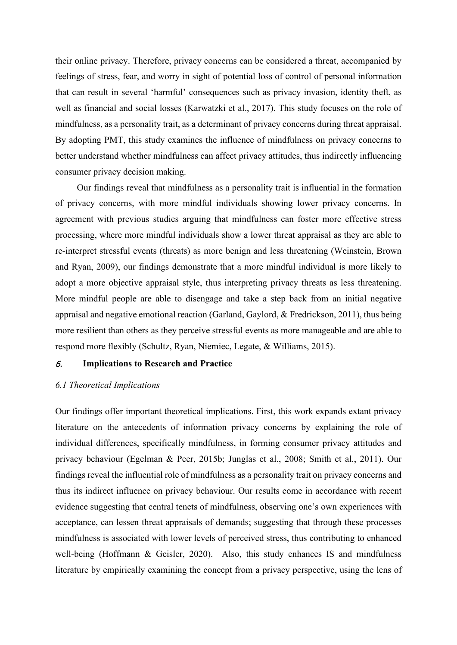their online privacy. Therefore, privacy concerns can be considered a threat, accompanied by feelings of stress, fear, and worry in sight of potential loss of control of personal information that can result in several 'harmful' consequences such as privacy invasion, identity theft, as well as financial and social losses (Karwatzki et al., 2017). This study focuses on the role of mindfulness, as a personality trait, as a determinant of privacy concerns during threat appraisal. By adopting PMT, this study examines the influence of mindfulness on privacy concerns to better understand whether mindfulness can affect privacy attitudes, thus indirectly influencing consumer privacy decision making.

Our findings reveal that mindfulness as a personality trait is influential in the formation of privacy concerns, with more mindful individuals showing lower privacy concerns. In agreement with previous studies arguing that mindfulness can foster more effective stress processing, where more mindful individuals show a lower threat appraisal as they are able to re-interpret stressful events (threats) as more benign and less threatening (Weinstein, Brown and Ryan, 2009), our findings demonstrate that a more mindful individual is more likely to adopt a more objective appraisal style, thus interpreting privacy threats as less threatening. More mindful people are able to disengage and take a step back from an initial negative appraisal and negative emotional reaction (Garland, Gaylord, & Fredrickson, 2011), thus being more resilient than others as they perceive stressful events as more manageable and are able to respond more flexibly (Schultz, Ryan, Niemiec, Legate, & Williams, 2015).

# 6. **Implications to Research and Practice**

#### *6.1 Theoretical Implications*

Our findings offer important theoretical implications. First, this work expands extant privacy literature on the antecedents of information privacy concerns by explaining the role of individual differences, specifically mindfulness, in forming consumer privacy attitudes and privacy behaviour (Egelman & Peer, 2015b; Junglas et al., 2008; Smith et al., 2011). Our findings reveal the influential role of mindfulness as a personality trait on privacy concerns and thus its indirect influence on privacy behaviour. Our results come in accordance with recent evidence suggesting that central tenets of mindfulness, observing one's own experiences with acceptance, can lessen threat appraisals of demands; suggesting that through these processes mindfulness is associated with lower levels of perceived stress, thus contributing to enhanced well-being (Hoffmann & Geisler, 2020). Also, this study enhances IS and mindfulness literature by empirically examining the concept from a privacy perspective, using the lens of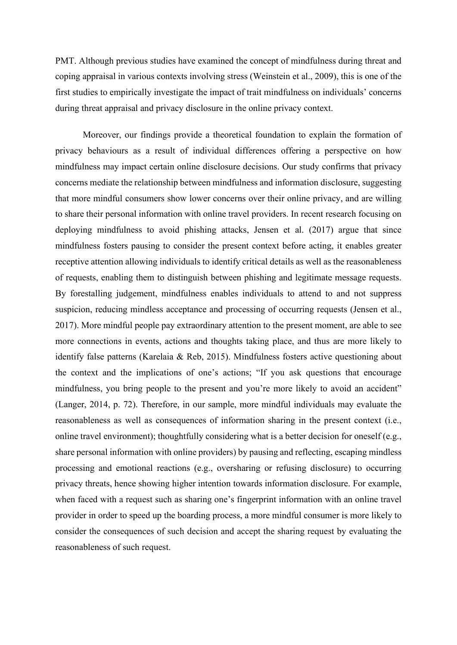PMT. Although previous studies have examined the concept of mindfulness during threat and coping appraisal in various contexts involving stress (Weinstein et al., 2009), this is one of the first studies to empirically investigate the impact of trait mindfulness on individuals' concerns during threat appraisal and privacy disclosure in the online privacy context.

Moreover, our findings provide a theoretical foundation to explain the formation of privacy behaviours as a result of individual differences offering a perspective on how mindfulness may impact certain online disclosure decisions. Our study confirms that privacy concerns mediate the relationship between mindfulness and information disclosure, suggesting that more mindful consumers show lower concerns over their online privacy, and are willing to share their personal information with online travel providers. In recent research focusing on deploying mindfulness to avoid phishing attacks, Jensen et al. (2017) argue that since mindfulness fosters pausing to consider the present context before acting, it enables greater receptive attention allowing individuals to identify critical details as well as the reasonableness of requests, enabling them to distinguish between phishing and legitimate message requests. By forestalling judgement, mindfulness enables individuals to attend to and not suppress suspicion, reducing mindless acceptance and processing of occurring requests (Jensen et al., 2017). More mindful people pay extraordinary attention to the present moment, are able to see more connections in events, actions and thoughts taking place, and thus are more likely to identify false patterns (Karelaia & Reb, 2015). Mindfulness fosters active questioning about the context and the implications of one's actions; "If you ask questions that encourage mindfulness, you bring people to the present and you're more likely to avoid an accident" (Langer, 2014, p. 72). Therefore, in our sample, more mindful individuals may evaluate the reasonableness as well as consequences of information sharing in the present context (i.e., online travel environment); thoughtfully considering what is a better decision for oneself (e.g., share personal information with online providers) by pausing and reflecting, escaping mindless processing and emotional reactions (e.g., oversharing or refusing disclosure) to occurring privacy threats, hence showing higher intention towards information disclosure. For example, when faced with a request such as sharing one's fingerprint information with an online travel provider in order to speed up the boarding process, a more mindful consumer is more likely to consider the consequences of such decision and accept the sharing request by evaluating the reasonableness of such request.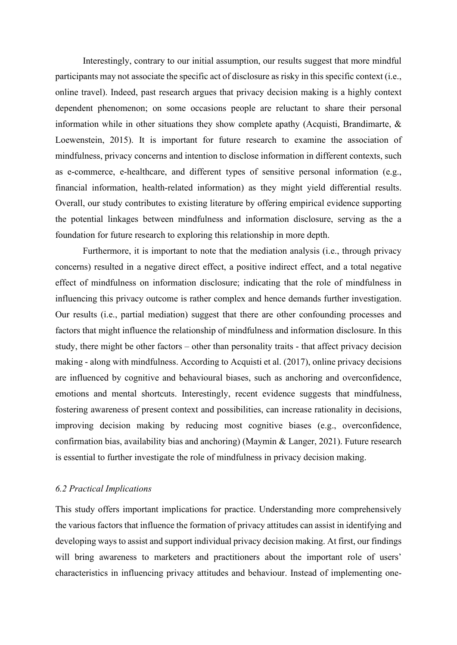Interestingly, contrary to our initial assumption, our results suggest that more mindful participants may not associate the specific act of disclosure as risky in this specific context (i.e., online travel). Indeed, past research argues that privacy decision making is a highly context dependent phenomenon; on some occasions people are reluctant to share their personal information while in other situations they show complete apathy (Acquisti, Brandimarte, & Loewenstein, 2015). It is important for future research to examine the association of mindfulness, privacy concerns and intention to disclose information in different contexts, such as e-commerce, e-healthcare, and different types of sensitive personal information (e.g., financial information, health-related information) as they might yield differential results. Overall, our study contributes to existing literature by offering empirical evidence supporting the potential linkages between mindfulness and information disclosure, serving as the a foundation for future research to exploring this relationship in more depth.

Furthermore, it is important to note that the mediation analysis (i.e., through privacy concerns) resulted in a negative direct effect, a positive indirect effect, and a total negative effect of mindfulness on information disclosure; indicating that the role of mindfulness in influencing this privacy outcome is rather complex and hence demands further investigation. Our results (i.e., partial mediation) suggest that there are other confounding processes and factors that might influence the relationship of mindfulness and information disclosure. In this study, there might be other factors – other than personality traits - that affect privacy decision making - along with mindfulness. According to Acquisti et al. (2017), online privacy decisions are influenced by cognitive and behavioural biases, such as anchoring and overconfidence, emotions and mental shortcuts. Interestingly, recent evidence suggests that mindfulness, fostering awareness of present context and possibilities, can increase rationality in decisions, improving decision making by reducing most cognitive biases (e.g., overconfidence, confirmation bias, availability bias and anchoring) (Maymin & Langer, 2021). Future research is essential to further investigate the role of mindfulness in privacy decision making.

#### *6.2 Practical Implications*

This study offers important implications for practice. Understanding more comprehensively the various factors that influence the formation of privacy attitudes can assist in identifying and developing ways to assist and support individual privacy decision making. At first, our findings will bring awareness to marketers and practitioners about the important role of users' characteristics in influencing privacy attitudes and behaviour. Instead of implementing one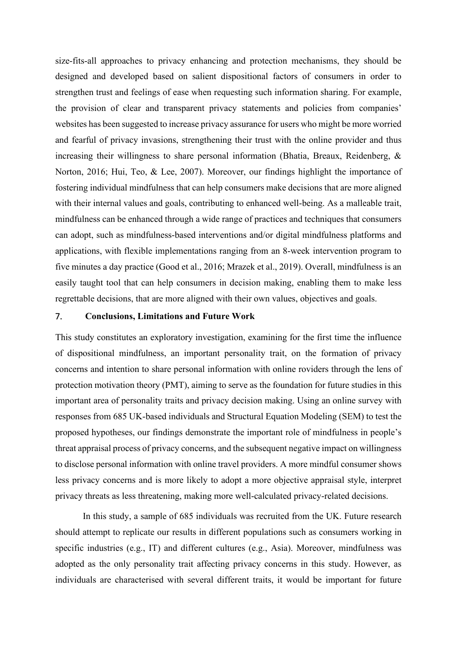size-fits-all approaches to privacy enhancing and protection mechanisms, they should be designed and developed based on salient dispositional factors of consumers in order to strengthen trust and feelings of ease when requesting such information sharing. For example, the provision of clear and transparent privacy statements and policies from companies' websites has been suggested to increase privacy assurance for users who might be more worried and fearful of privacy invasions, strengthening their trust with the online provider and thus increasing their willingness to share personal information (Bhatia, Breaux, Reidenberg, & Norton, 2016; Hui, Teo, & Lee, 2007). Moreover, our findings highlight the importance of fostering individual mindfulness that can help consumers make decisions that are more aligned with their internal values and goals, contributing to enhanced well-being. As a malleable trait, mindfulness can be enhanced through a wide range of practices and techniques that consumers can adopt, such as mindfulness-based interventions and/or digital mindfulness platforms and applications, with flexible implementations ranging from an 8-week intervention program to five minutes a day practice (Good et al., 2016; Mrazek et al., 2019). Overall, mindfulness is an easily taught tool that can help consumers in decision making, enabling them to make less regrettable decisions, that are more aligned with their own values, objectives and goals.

# 7. **Conclusions, Limitations and Future Work**

This study constitutes an exploratory investigation, examining for the first time the influence of dispositional mindfulness, an important personality trait, on the formation of privacy concerns and intention to share personal information with online roviders through the lens of protection motivation theory (PMT), aiming to serve as the foundation for future studies in this important area of personality traits and privacy decision making. Using an online survey with responses from 685 UK-based individuals and Structural Equation Modeling (SEM) to test the proposed hypotheses, our findings demonstrate the important role of mindfulness in people's threat appraisal process of privacy concerns, and the subsequent negative impact on willingness to disclose personal information with online travel providers. A more mindful consumer shows less privacy concerns and is more likely to adopt a more objective appraisal style, interpret privacy threats as less threatening, making more well-calculated privacy-related decisions.

In this study, a sample of 685 individuals was recruited from the UK. Future research should attempt to replicate our results in different populations such as consumers working in specific industries (e.g., IT) and different cultures (e.g., Asia). Moreover, mindfulness was adopted as the only personality trait affecting privacy concerns in this study. However, as individuals are characterised with several different traits, it would be important for future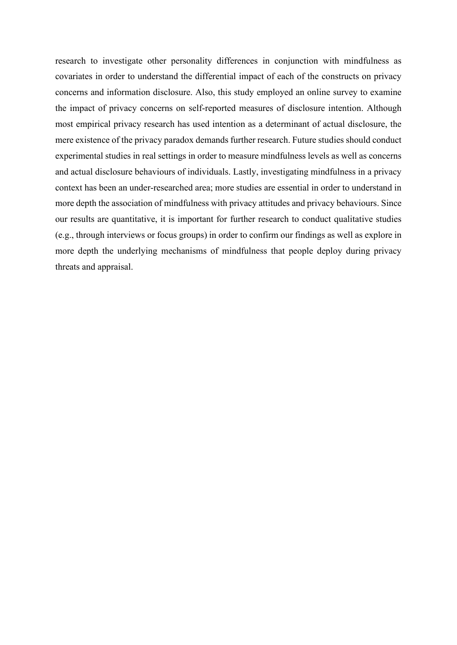research to investigate other personality differences in conjunction with mindfulness as covariates in order to understand the differential impact of each of the constructs on privacy concerns and information disclosure. Also, this study employed an online survey to examine the impact of privacy concerns on self-reported measures of disclosure intention. Although most empirical privacy research has used intention as a determinant of actual disclosure, the mere existence of the privacy paradox demands further research. Future studies should conduct experimental studies in real settings in order to measure mindfulness levels as well as concerns and actual disclosure behaviours of individuals. Lastly, investigating mindfulness in a privacy context has been an under-researched area; more studies are essential in order to understand in more depth the association of mindfulness with privacy attitudes and privacy behaviours. Since our results are quantitative, it is important for further research to conduct qualitative studies (e.g., through interviews or focus groups) in order to confirm our findings as well as explore in more depth the underlying mechanisms of mindfulness that people deploy during privacy threats and appraisal.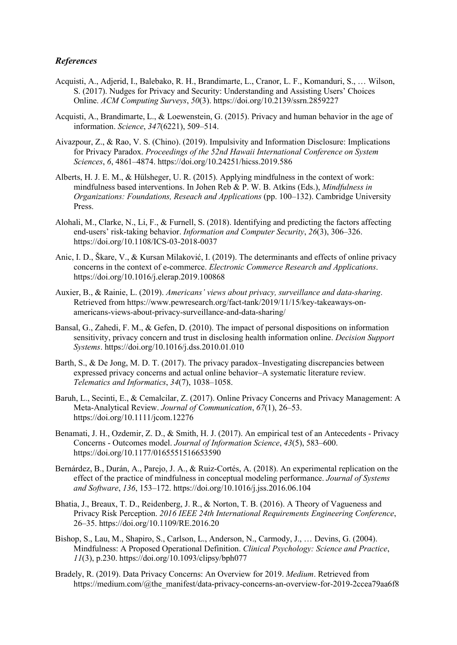# *References*

- Acquisti, A., Adjerid, I., Balebako, R. H., Brandimarte, L., Cranor, L. F., Komanduri, S., … Wilson, S. (2017). Nudges for Privacy and Security: Understanding and Assisting Users' Choices Online. *ACM Computing Surveys*, *50*(3). https://doi.org/10.2139/ssrn.2859227
- Acquisti, A., Brandimarte, L., & Loewenstein, G. (2015). Privacy and human behavior in the age of information. *Science*, *347*(6221), 509–514.
- Aivazpour, Z., & Rao, V. S. (Chino). (2019). Impulsivity and Information Disclosure: Implications for Privacy Paradox. *Proceedings of the 52nd Hawaii International Conference on System Sciences*, *6*, 4861–4874. https://doi.org/10.24251/hicss.2019.586
- Alberts, H. J. E. M., & Hülsheger, U. R. (2015). Applying mindfulness in the context of work: mindfulness based interventions. In Johen Reb & P. W. B. Atkins (Eds.), *Mindfulness in Organizations: Foundations, Reseach and Applications* (pp. 100–132). Cambridge University Press.
- Alohali, M., Clarke, N., Li, F., & Furnell, S. (2018). Identifying and predicting the factors affecting end-users' risk-taking behavior. *Information and Computer Security*, *26*(3), 306–326. https://doi.org/10.1108/ICS-03-2018-0037
- Anic, I. D., Škare, V., & Kursan Milaković, I. (2019). The determinants and effects of online privacy concerns in the context of e-commerce. *Electronic Commerce Research and Applications*. https://doi.org/10.1016/j.elerap.2019.100868
- Auxier, B., & Rainie, L. (2019). *Americans' views about privacy, surveillance and data-sharing*. Retrieved from https://www.pewresearch.org/fact-tank/2019/11/15/key-takeaways-onamericans-views-about-privacy-surveillance-and-data-sharing/
- Bansal, G., Zahedi, F. M., & Gefen, D. (2010). The impact of personal dispositions on information sensitivity, privacy concern and trust in disclosing health information online. *Decision Support Systems*. https://doi.org/10.1016/j.dss.2010.01.010
- Barth, S., & De Jong, M. D. T. (2017). The privacy paradox–Investigating discrepancies between expressed privacy concerns and actual online behavior–A systematic literature review. *Telematics and Informatics*, *34*(7), 1038–1058.
- Baruh, L., Secinti, E., & Cemalcilar, Z. (2017). Online Privacy Concerns and Privacy Management: A Meta-Analytical Review. *Journal of Communication*, *67*(1), 26–53. https://doi.org/10.1111/jcom.12276
- Benamati, J. H., Ozdemir, Z. D., & Smith, H. J. (2017). An empirical test of an Antecedents Privacy Concerns - Outcomes model. *Journal of Information Science*, *43*(5), 583–600. https://doi.org/10.1177/0165551516653590
- Bernárdez, B., Durán, A., Parejo, J. A., & Ruiz-Cortés, A. (2018). An experimental replication on the effect of the practice of mindfulness in conceptual modeling performance. *Journal of Systems and Software*, *136*, 153–172. https://doi.org/10.1016/j.jss.2016.06.104
- Bhatia, J., Breaux, T. D., Reidenberg, J. R., & Norton, T. B. (2016). A Theory of Vagueness and Privacy Risk Perception. *2016 IEEE 24th International Requirements Engineering Conference*, 26–35. https://doi.org/10.1109/RE.2016.20
- Bishop, S., Lau, M., Shapiro, S., Carlson, L., Anderson, N., Carmody, J., … Devins, G. (2004). Mindfulness: A Proposed Operational Definition. *Clinical Psychology: Science and Practice*, *11*(3), p.230. https://doi.org/10.1093/clipsy/bph077
- Bradely, R. (2019). Data Privacy Concerns: An Overview for 2019. *Medium*. Retrieved from https://medium.com/@the\_manifest/data-privacy-concerns-an-overview-for-2019-2ccea79aa6f8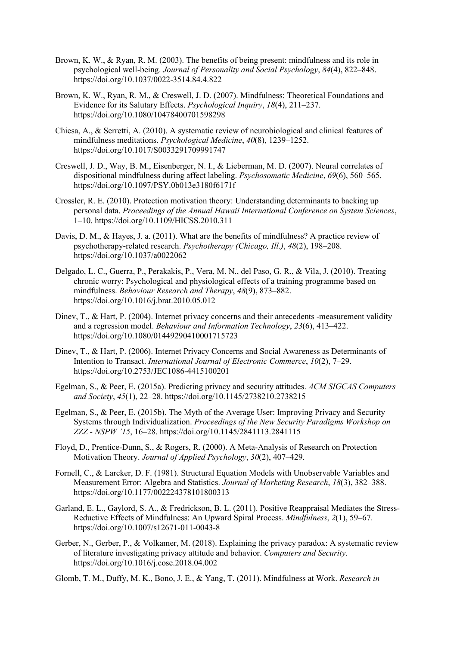- Brown, K. W., & Ryan, R. M. (2003). The benefits of being present: mindfulness and its role in psychological well-being. *Journal of Personality and Social Psychology*, *84*(4), 822–848. https://doi.org/10.1037/0022-3514.84.4.822
- Brown, K. W., Ryan, R. M., & Creswell, J. D. (2007). Mindfulness: Theoretical Foundations and Evidence for its Salutary Effects. *Psychological Inquiry*, *18*(4), 211–237. https://doi.org/10.1080/10478400701598298
- Chiesa, A., & Serretti, A. (2010). A systematic review of neurobiological and clinical features of mindfulness meditations. *Psychological Medicine*, *40*(8), 1239–1252. https://doi.org/10.1017/S0033291709991747
- Creswell, J. D., Way, B. M., Eisenberger, N. I., & Lieberman, M. D. (2007). Neural correlates of dispositional mindfulness during affect labeling. *Psychosomatic Medicine*, *69*(6), 560–565. https://doi.org/10.1097/PSY.0b013e3180f6171f
- Crossler, R. E. (2010). Protection motivation theory: Understanding determinants to backing up personal data. *Proceedings of the Annual Hawaii International Conference on System Sciences*, 1–10. https://doi.org/10.1109/HICSS.2010.311
- Davis, D. M., & Hayes, J. a. (2011). What are the benefits of mindfulness? A practice review of psychotherapy-related research. *Psychotherapy (Chicago, Ill.)*, *48*(2), 198–208. https://doi.org/10.1037/a0022062
- Delgado, L. C., Guerra, P., Perakakis, P., Vera, M. N., del Paso, G. R., & Vila, J. (2010). Treating chronic worry: Psychological and physiological effects of a training programme based on mindfulness. *Behaviour Research and Therapy*, *48*(9), 873–882. https://doi.org/10.1016/j.brat.2010.05.012
- Dinev, T., & Hart, P. (2004). Internet privacy concerns and their antecedents -measurement validity and a regression model. *Behaviour and Information Technology*, *23*(6), 413–422. https://doi.org/10.1080/01449290410001715723
- Dinev, T., & Hart, P. (2006). Internet Privacy Concerns and Social Awareness as Determinants of Intention to Transact. *International Journal of Electronic Commerce*, *10*(2), 7–29. https://doi.org/10.2753/JEC1086-4415100201
- Egelman, S., & Peer, E. (2015a). Predicting privacy and security attitudes. *ACM SIGCAS Computers and Society*, *45*(1), 22–28. https://doi.org/10.1145/2738210.2738215
- Egelman, S., & Peer, E. (2015b). The Myth of the Average User: Improving Privacy and Security Systems through Individualization. *Proceedings of the New Security Paradigms Workshop on ZZZ - NSPW '15*, 16–28. https://doi.org/10.1145/2841113.2841115
- Floyd, D., Prentice-Dunn, S., & Rogers, R. (2000). A Meta-Analysis of Research on Protection Motivation Theory. *Journal of Applied Psychology*, *30*(2), 407–429.
- Fornell, C., & Larcker, D. F. (1981). Structural Equation Models with Unobservable Variables and Measurement Error: Algebra and Statistics. *Journal of Marketing Research*, *18*(3), 382–388. https://doi.org/10.1177/002224378101800313
- Garland, E. L., Gaylord, S. A., & Fredrickson, B. L. (2011). Positive Reappraisal Mediates the Stress-Reductive Effects of Mindfulness: An Upward Spiral Process. *Mindfulness*, *2*(1), 59–67. https://doi.org/10.1007/s12671-011-0043-8
- Gerber, N., Gerber, P., & Volkamer, M. (2018). Explaining the privacy paradox: A systematic review of literature investigating privacy attitude and behavior. *Computers and Security*. https://doi.org/10.1016/j.cose.2018.04.002
- Glomb, T. M., Duffy, M. K., Bono, J. E., & Yang, T. (2011). Mindfulness at Work. *Research in*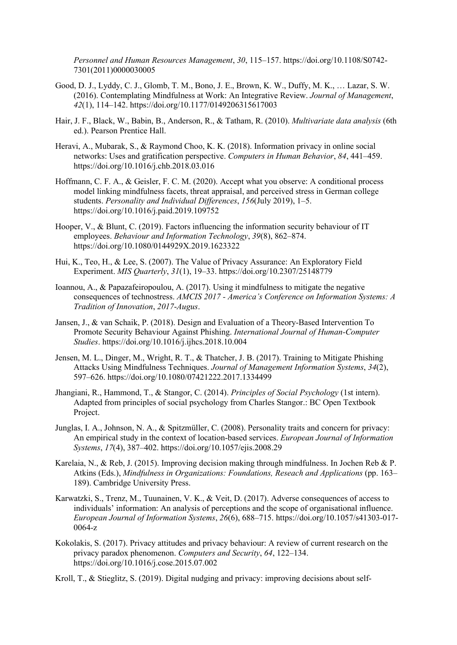*Personnel and Human Resources Management*, *30*, 115–157. https://doi.org/10.1108/S0742- 7301(2011)0000030005

- Good, D. J., Lyddy, C. J., Glomb, T. M., Bono, J. E., Brown, K. W., Duffy, M. K., … Lazar, S. W. (2016). Contemplating Mindfulness at Work: An Integrative Review. *Journal of Management*, *42*(1), 114–142. https://doi.org/10.1177/0149206315617003
- Hair, J. F., Black, W., Babin, B., Anderson, R., & Tatham, R. (2010). *Multivariate data analysis* (6th ed.). Pearson Prentice Hall.
- Heravi, A., Mubarak, S., & Raymond Choo, K. K. (2018). Information privacy in online social networks: Uses and gratification perspective. *Computers in Human Behavior*, *84*, 441–459. https://doi.org/10.1016/j.chb.2018.03.016
- Hoffmann, C. F. A., & Geisler, F. C. M. (2020). Accept what you observe: A conditional process model linking mindfulness facets, threat appraisal, and perceived stress in German college students. *Personality and Individual Differences*, *156*(July 2019), 1–5. https://doi.org/10.1016/j.paid.2019.109752
- Hooper, V., & Blunt, C. (2019). Factors influencing the information security behaviour of IT employees. *Behaviour and Information Technology*, *39*(8), 862–874. https://doi.org/10.1080/0144929X.2019.1623322
- Hui, K., Teo, H., & Lee, S. (2007). The Value of Privacy Assurance: An Exploratory Field Experiment. *MIS Quarterly*, *31*(1), 19–33. https://doi.org/10.2307/25148779
- Ioannou, A., & Papazafeiropoulou, A. (2017). Using it mindfulness to mitigate the negative consequences of technostress. *AMCIS 2017 - America's Conference on Information Systems: A Tradition of Innovation*, *2017*-*Augus*.
- Jansen, J., & van Schaik, P. (2018). Design and Evaluation of a Theory-Based Intervention To Promote Security Behaviour Against Phishing. *International Journal of Human-Computer Studies*. https://doi.org/10.1016/j.ijhcs.2018.10.004
- Jensen, M. L., Dinger, M., Wright, R. T., & Thatcher, J. B. (2017). Training to Mitigate Phishing Attacks Using Mindfulness Techniques. *Journal of Management Information Systems*, *34*(2), 597–626. https://doi.org/10.1080/07421222.2017.1334499
- Jhangiani, R., Hammond, T., & Stangor, C. (2014). *Principles of Social Psychology* (1st intern). Adapted from principles of social psychology from Charles Stangor.: BC Open Textbook Project.
- Junglas, I. A., Johnson, N. A., & Spitzmüller, C. (2008). Personality traits and concern for privacy: An empirical study in the context of location-based services. *European Journal of Information Systems*, *17*(4), 387–402. https://doi.org/10.1057/ejis.2008.29
- Karelaia, N., & Reb, J. (2015). Improving decision making through mindfulness. In Jochen Reb & P. Atkins (Eds.), *Mindfulness in Organizations: Foundations, Reseach and Applications* (pp. 163– 189). Cambridge University Press.
- Karwatzki, S., Trenz, M., Tuunainen, V. K., & Veit, D. (2017). Adverse consequences of access to individuals' information: An analysis of perceptions and the scope of organisational influence. *European Journal of Information Systems*, *26*(6), 688–715. https://doi.org/10.1057/s41303-017-  $0064-z$
- Kokolakis, S. (2017). Privacy attitudes and privacy behaviour: A review of current research on the privacy paradox phenomenon. *Computers and Security*, *64*, 122–134. https://doi.org/10.1016/j.cose.2015.07.002

Kroll, T., & Stieglitz, S. (2019). Digital nudging and privacy: improving decisions about self-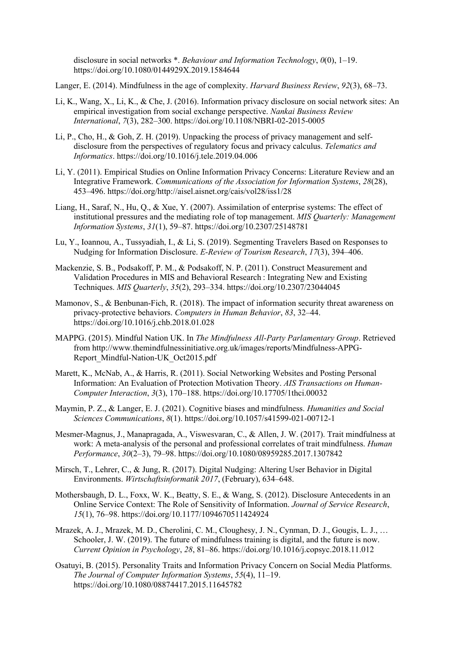disclosure in social networks \*. *Behaviour and Information Technology*, *0*(0), 1–19. https://doi.org/10.1080/0144929X.2019.1584644

Langer, E. (2014). Mindfulness in the age of complexity. *Harvard Business Review*, *92*(3), 68–73.

- Li, K., Wang, X., Li, K., & Che, J. (2016). Information privacy disclosure on social network sites: An empirical investigation from social exchange perspective. *Nankai Business Review International*, *7*(3), 282–300. https://doi.org/10.1108/NBRI-02-2015-0005
- Li, P., Cho, H., & Goh, Z. H. (2019). Unpacking the process of privacy management and selfdisclosure from the perspectives of regulatory focus and privacy calculus. *Telematics and Informatics*. https://doi.org/10.1016/j.tele.2019.04.006
- Li, Y. (2011). Empirical Studies on Online Information Privacy Concerns: Literature Review and an Integrative Framework. *Communications of the Association for Information Systems*, *28*(28), 453–496. https://doi.org/http://aisel.aisnet.org/cais/vol28/iss1/28
- Liang, H., Saraf, N., Hu, Q., & Xue, Y. (2007). Assimilation of enterprise systems: The effect of institutional pressures and the mediating role of top management. *MIS Quarterly: Management Information Systems*, *31*(1), 59–87. https://doi.org/10.2307/25148781
- Lu, Y., Ioannou, A., Tussyadiah, I., & Li, S. (2019). Segmenting Travelers Based on Responses to Nudging for Information Disclosure. *E-Review of Tourism Research*, *17*(3), 394–406.
- Mackenzie, S. B., Podsakoff, P. M., & Podsakoff, N. P. (2011). Construct Measurement and Validation Procedures in MIS and Behavioral Research : Integrating New and Existing Techniques. *MIS Quarterly*, *35*(2), 293–334. https://doi.org/10.2307/23044045
- Mamonov, S., & Benbunan-Fich, R. (2018). The impact of information security threat awareness on privacy-protective behaviors. *Computers in Human Behavior*, *83*, 32–44. https://doi.org/10.1016/j.chb.2018.01.028
- MAPPG. (2015). Mindful Nation UK. In *The Mindfulness All-Party Parlamentary Group*. Retrieved from http://www.themindfulnessinitiative.org.uk/images/reports/Mindfulness-APPG-Report\_Mindful-Nation-UK\_Oct2015.pdf
- Marett, K., McNab, A., & Harris, R. (2011). Social Networking Websites and Posting Personal Information: An Evaluation of Protection Motivation Theory. *AIS Transactions on Human-Computer Interaction*, *3*(3), 170–188. https://doi.org/10.17705/1thci.00032
- Maymin, P. Z., & Langer, E. J. (2021). Cognitive biases and mindfulness. *Humanities and Social Sciences Communications*, *8*(1). https://doi.org/10.1057/s41599-021-00712-1
- Mesmer-Magnus, J., Manapragada, A., Viswesvaran, C., & Allen, J. W. (2017). Trait mindfulness at work: A meta-analysis of the personal and professional correlates of trait mindfulness. *Human Performance*, *30*(2–3), 79–98. https://doi.org/10.1080/08959285.2017.1307842
- Mirsch, T., Lehrer, C., & Jung, R. (2017). Digital Nudging: Altering User Behavior in Digital Environments. *Wirtschaftsinformatik 2017*, (February), 634–648.
- Mothersbaugh, D. L., Foxx, W. K., Beatty, S. E., & Wang, S. (2012). Disclosure Antecedents in an Online Service Context: The Role of Sensitivity of Information. *Journal of Service Research*, *15*(1), 76–98. https://doi.org/10.1177/1094670511424924
- Mrazek, A. J., Mrazek, M. D., Cherolini, C. M., Cloughesy, J. N., Cynman, D. J., Gougis, L. J., … Schooler, J. W. (2019). The future of mindfulness training is digital, and the future is now. *Current Opinion in Psychology*, *28*, 81–86. https://doi.org/10.1016/j.copsyc.2018.11.012
- Osatuyi, B. (2015). Personality Traits and Information Privacy Concern on Social Media Platforms. *The Journal of Computer Information Systems*, *55*(4), 11–19. https://doi.org/10.1080/08874417.2015.11645782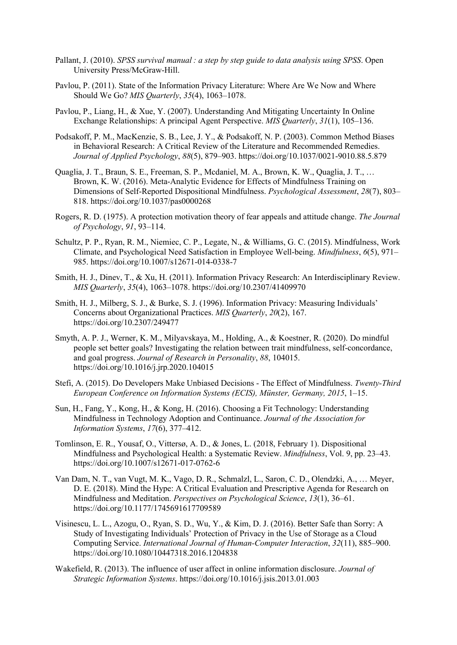- Pallant, J. (2010). *SPSS survival manual : a step by step guide to data analysis using SPSS*. Open University Press/McGraw-Hill.
- Pavlou, P. (2011). State of the Information Privacy Literature: Where Are We Now and Where Should We Go? *MIS Quarterly*, *35*(4), 1063–1078.
- Pavlou, P., Liang, H., & Xue, Y. (2007). Understanding And Mitigating Uncertainty In Online Exchange Relationships: A principal Agent Perspective. *MIS Quarterly*, *31*(1), 105–136.
- Podsakoff, P. M., MacKenzie, S. B., Lee, J. Y., & Podsakoff, N. P. (2003). Common Method Biases in Behavioral Research: A Critical Review of the Literature and Recommended Remedies. *Journal of Applied Psychology*, *88*(5), 879–903. https://doi.org/10.1037/0021-9010.88.5.879
- Quaglia, J. T., Braun, S. E., Freeman, S. P., Mcdaniel, M. A., Brown, K. W., Quaglia, J. T., … Brown, K. W. (2016). Meta-Analytic Evidence for Effects of Mindfulness Training on Dimensions of Self-Reported Dispositional Mindfulness. *Psychological Assessment*, *28*(7), 803– 818. https://doi.org/10.1037/pas0000268
- Rogers, R. D. (1975). A protection motivation theory of fear appeals and attitude change. *The Journal of Psychology*, *91*, 93–114.
- Schultz, P. P., Ryan, R. M., Niemiec, C. P., Legate, N., & Williams, G. C. (2015). Mindfulness, Work Climate, and Psychological Need Satisfaction in Employee Well-being. *Mindfulness*, *6*(5), 971– 985. https://doi.org/10.1007/s12671-014-0338-7
- Smith, H. J., Dinev, T., & Xu, H. (2011). Information Privacy Research: An Interdisciplinary Review. *MIS Quarterly*, *35*(4), 1063–1078. https://doi.org/10.2307/41409970
- Smith, H. J., Milberg, S. J., & Burke, S. J. (1996). Information Privacy: Measuring Individuals' Concerns about Organizational Practices. *MIS Quarterly*, *20*(2), 167. https://doi.org/10.2307/249477
- Smyth, A. P. J., Werner, K. M., Milyavskaya, M., Holding, A., & Koestner, R. (2020). Do mindful people set better goals? Investigating the relation between trait mindfulness, self-concordance, and goal progress. *Journal of Research in Personality*, *88*, 104015. https://doi.org/10.1016/j.jrp.2020.104015
- Stefi, A. (2015). Do Developers Make Unbiased Decisions The Effect of Mindfulness. *Twenty-Third European Conference on Information Systems (ECIS), Münster, Germany, 2015*, 1–15.
- Sun, H., Fang, Y., Kong, H., & Kong, H. (2016). Choosing a Fit Technology: Understanding Mindfulness in Technology Adoption and Continuance. *Journal of the Association for Information Systems*, *17*(6), 377–412.
- Tomlinson, E. R., Yousaf, O., Vittersø, A. D., & Jones, L. (2018, February 1). Dispositional Mindfulness and Psychological Health: a Systematic Review. *Mindfulness*, Vol. 9, pp. 23–43. https://doi.org/10.1007/s12671-017-0762-6
- Van Dam, N. T., van Vugt, M. K., Vago, D. R., Schmalzl, L., Saron, C. D., Olendzki, A., … Meyer, D. E. (2018). Mind the Hype: A Critical Evaluation and Prescriptive Agenda for Research on Mindfulness and Meditation. *Perspectives on Psychological Science*, *13*(1), 36–61. https://doi.org/10.1177/1745691617709589
- Visinescu, L. L., Azogu, O., Ryan, S. D., Wu, Y., & Kim, D. J. (2016). Better Safe than Sorry: A Study of Investigating Individuals' Protection of Privacy in the Use of Storage as a Cloud Computing Service. *International Journal of Human-Computer Interaction*, *32*(11), 885–900. https://doi.org/10.1080/10447318.2016.1204838
- Wakefield, R. (2013). The influence of user affect in online information disclosure. *Journal of Strategic Information Systems*. https://doi.org/10.1016/j.jsis.2013.01.003